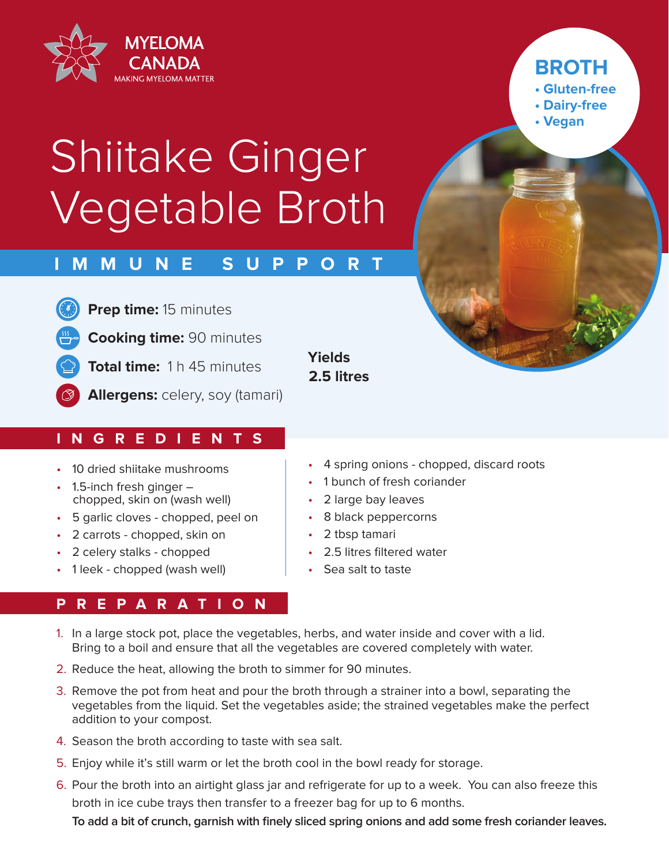

## **BROTH**

**• Gluten-free**

- **Dairy-free**
- **Vegan**

# Shiitake Ginger Vegetable Broth

### **IMMUNE SUPPORT**

**Prep time:** 15 minutes

**Cooking time:** 90 minutes

**Total time:** 1 h 45 minutes

**Allergens:** celery, soy (tamari)

#### **INGREDIENTS**

- 10 dried shiitake mushrooms
- 1.5-inch fresh ginger chopped, skin on (wash well)
- 5 garlic cloves chopped, peel on
- 2 carrots chopped, skin on
- 2 celery stalks chopped
- 1 leek chopped (wash well)

#### **PREPARATION**

#### **Yields 2.5 litres**

- 4 spring onions chopped, discard roots
- 1 bunch of fresh coriander
- 2 large bay leaves
- 8 black peppercorns
- 2 tbsp tamari
- 2.5 litres filtered water
- Sea salt to taste
- 1. In a large stock pot, place the vegetables, herbs, and water inside and cover with a lid. Bring to a boil and ensure that all the vegetables are covered completely with water.
- 2. Reduce the heat, allowing the broth to simmer for 90 minutes.
- 3. Remove the pot from heat and pour the broth through a strainer into a bowl, separating the vegetables from the liquid. Set the vegetables aside; the strained vegetables make the perfect addition to your compost.
- 4. Season the broth according to taste with sea salt.
- 5. Enjoy while it's still warm or let the broth cool in the bowl ready for storage.
- 6. Pour the broth into an airtight glass jar and refrigerate for up to a week. You can also freeze this broth in ice cube trays then transfer to a freezer bag for up to 6 months.

**To add a bit of crunch, garnish with finely sliced spring onions and add some fresh coriander leaves.**